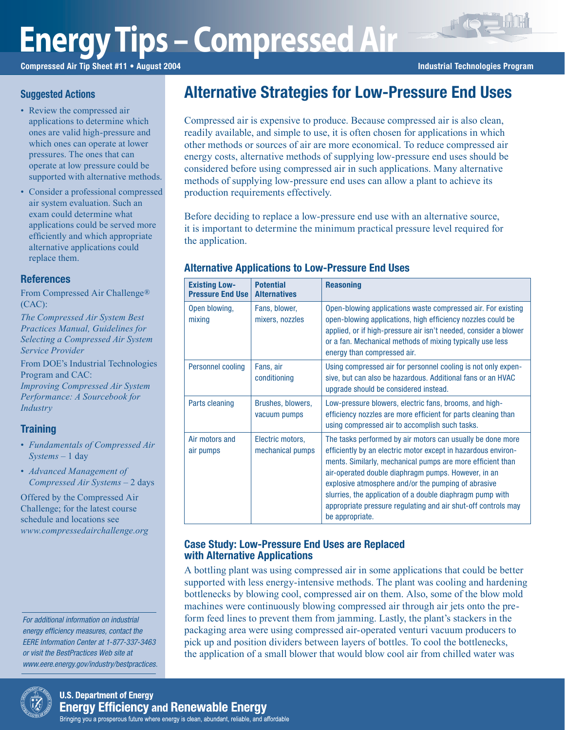# **Energy Tips – Compressed Air**

Compressed Air Tip Sheet #11 • August 2004 **Industrial Technologies Program** Industrial Technologies Program

## **Suggested Actions**

- Review the compressed air applications to determine which ones are valid high-pressure and which ones can operate at lower pressures. The ones that can operate at low pressure could be supported with alternative methods.
- Consider a professional compressed air system evaluation. Such an exam could determine what applications could be served more efficiently and which appropriate alternative applications could replace them.

## **References**

From Compressed Air Challenge® (CAC):

*The Compressed Air System Best Practices Manual, Guidelines for Selecting a Compressed Air System Service Provider*

From DOE's Industrial Technologies Program and CAC:

*Improving Compressed Air System Performance: A Sourcebook for Industry*

## **Training**

- *Fundamentals of Compressed Air Systems* – 1 day
- *Advanced Management of Compressed Air Systems* – 2 days

Offered by the Compressed Air Challenge; for the latest course schedule and locations see *www.compressedairchallenge.org*

For additional information on industrial energy efficiency measures, contact the EERE Information Center at 1-877-337-3463 or visit the BestPractices Web site at www.eere.energy.gov/industry/bestpractices.

## Alternative Strategies for Low-Pressure End Uses

Compressed air is expensive to produce. Because compressed air is also clean, readily available, and simple to use, it is often chosen for applications in which other methods or sources of air are more economical. To reduce compressed air energy costs, alternative methods of supplying low-pressure end uses should be considered before using compressed air in such applications. Many alternative methods of supplying low-pressure end uses can allow a plant to achieve its production requirements effectively.

Before deciding to replace a low-pressure end use with an alternative source, it is important to determine the minimum practical pressure level required for the application.

## Alternative Applications to Low-Pressure End Uses

| <b>Existing Low-</b><br><b>Pressure End Use</b> | <b>Potential</b><br><b>Alternatives</b> | <b>Reasoning</b>                                                                                                                                                                                                                                                                                                                                                                                                                                         |  |
|-------------------------------------------------|-----------------------------------------|----------------------------------------------------------------------------------------------------------------------------------------------------------------------------------------------------------------------------------------------------------------------------------------------------------------------------------------------------------------------------------------------------------------------------------------------------------|--|
| Open blowing,<br>mixing                         | Fans, blower,<br>mixers, nozzles        | Open-blowing applications waste compressed air. For existing<br>open-blowing applications, high efficiency nozzles could be<br>applied, or if high-pressure air isn't needed, consider a blower<br>or a fan. Mechanical methods of mixing typically use less<br>energy than compressed air.                                                                                                                                                              |  |
| Personnel cooling                               | Fans, air<br>conditioning               | Using compressed air for personnel cooling is not only expen-<br>sive, but can also be hazardous. Additional fans or an HVAC<br>upgrade should be considered instead.                                                                                                                                                                                                                                                                                    |  |
| Parts cleaning                                  | Brushes, blowers,<br>vacuum pumps       | Low-pressure blowers, electric fans, brooms, and high-<br>efficiency nozzles are more efficient for parts cleaning than<br>using compressed air to accomplish such tasks.                                                                                                                                                                                                                                                                                |  |
| Air motors and<br>air pumps                     | Electric motors,<br>mechanical pumps    | The tasks performed by air motors can usually be done more<br>efficiently by an electric motor except in hazardous environ-<br>ments. Similarly, mechanical pumps are more efficient than<br>air-operated double diaphragm pumps. However, in an<br>explosive atmosphere and/or the pumping of abrasive<br>slurries, the application of a double diaphragm pump with<br>appropriate pressure regulating and air shut-off controls may<br>be appropriate. |  |

## Case Study: Low-Pressure End Uses are Replaced with Alternative Applications

A bottling plant was using compressed air in some applications that could be better supported with less energy-intensive methods. The plant was cooling and hardening bottlenecks by blowing cool, compressed air on them. Also, some of the blow mold machines were continuously blowing compressed air through air jets onto the preform feed lines to prevent them from jamming. Lastly, the plant's stackers in the packaging area were using compressed air-operated venturi vacuum producers to pick up and position dividers between layers of bottles. To cool the bottlenecks, the application of a small blower that would blow cool air from chilled water was